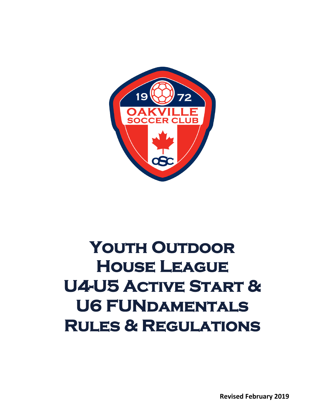

# YOUTH OUTDOOR **House League U4-U5 Active Start & U6 FUNdamentals Rules & Regulations**

**Revised February 2019**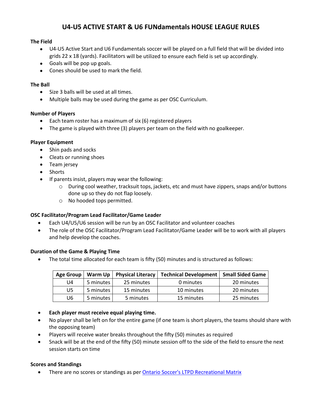## **U4-U5 ACTIVE START & U6 FUNdamentals HOUSE LEAGUE RULES**

#### **The Field**

- U4-U5 Active Start and U6 Fundamentals soccer will be played on a full field that will be divided into grids 22 x 18 (yards). Facilitators will be utilized to ensure each field is set up accordingly.
- Goals will be pop up goals.
- Cones should be used to mark the field.

#### **The Ball**

- Size 3 balls will be used at all times.
- Multiple balls may be used during the game as per OSC Curriculum.

#### **Number of Players**

- Each team roster has a maximum of six (6) registered players
- The game is played with three (3) players per team on the field with no goalkeeper.

#### **Player Equipment**

- Shin pads and socks
- Cleats or running shoes
- Team jersey
- Shorts
- If parents insist, players may wear the following:
	- o During cool weather, tracksuit tops, jackets, etc and must have zippers, snaps and/or buttons done up so they do not flap loosely.
	- o No hooded tops permitted.

#### **OSC Facilitator/Program Lead Facilitator/Game Leader**

- Each U4/U5/U6 session will be run by an OSC Facilitator and volunteer coaches
- The role of the OSC Facilitator/Program Lead Facilitator/Game Leader will be to work with all players and help develop the coaches.

#### **Duration of the Game & Playing Time**

• The total time allocated for each team is fifty (50) minutes and is structured as follows:

| <b>Age Group</b> | Warm Up   | <b>Physical Literacy</b> | <b>Technical Development</b> | <b>Small Sided Game</b> |
|------------------|-----------|--------------------------|------------------------------|-------------------------|
| U4               | 5 minutes | 25 minutes               | 0 minutes                    | 20 minutes              |
| U5               | 5 minutes | 15 minutes               | 10 minutes                   | 20 minutes              |
| U6               | 5 minutes | 5 minutes                | 15 minutes                   | 25 minutes              |

- **Each player must receive equal playing time.**
- No player shall be left on for the entire game (if one team is short players, the teams should share with the opposing team)
- Players will receive water breaks throughout the fifty (50) minutes as required
- Snack will be at the end of the fifty (50) minute session off to the side of the field to ensure the next session starts on time

#### **Scores and Standings**

There are no scores or standings as per **Ontario Soccer's LTPD Recreational Matrix**